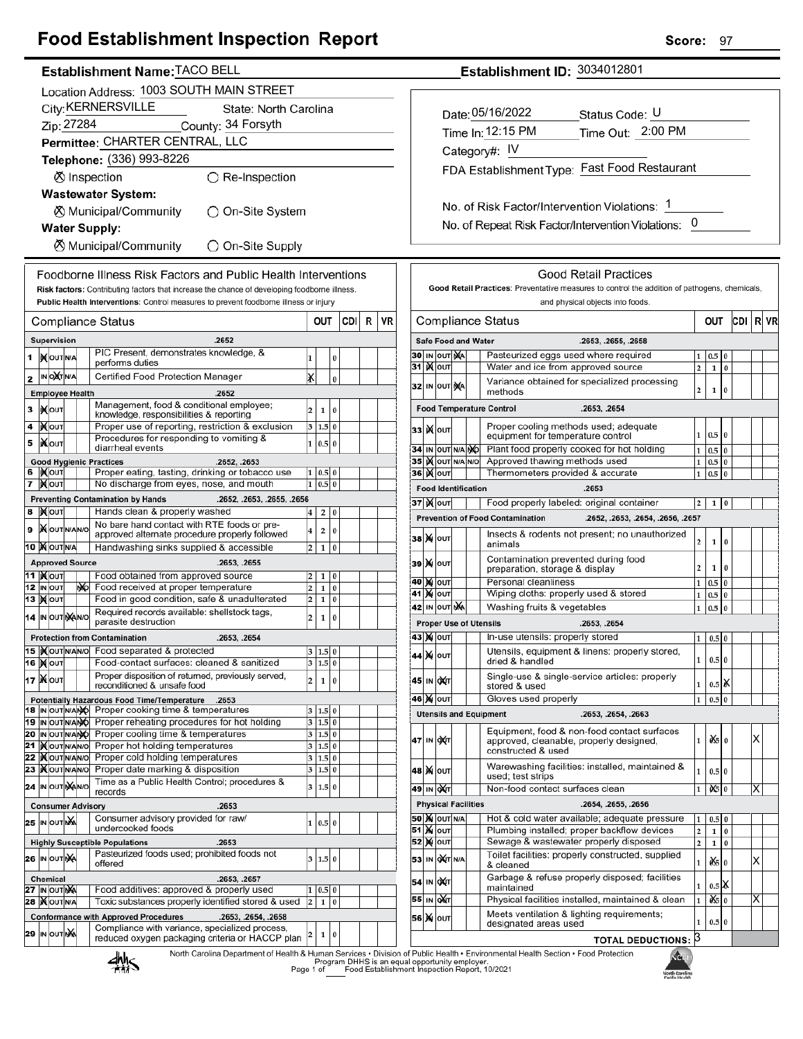# **Food Establishment Inspection Report**

### Establishment Name: TACO BELL

|    |                                           |                                 |  |     | Location Address: 1003 SOUTH MAIN STREET                                                                                 |                         |                  |          |     |   |    |  |  |
|----|-------------------------------------------|---------------------------------|--|-----|--------------------------------------------------------------------------------------------------------------------------|-------------------------|------------------|----------|-----|---|----|--|--|
|    |                                           |                                 |  |     | City: KERNERSVILLE<br>State: North Carolina                                                                              |                         |                  |          |     |   |    |  |  |
|    |                                           | Zip: 27284                      |  |     | County: 34 Forsyth                                                                                                       |                         |                  |          |     |   |    |  |  |
|    |                                           |                                 |  |     | Permittee: CHARTER CENTRAL, LLC                                                                                          |                         |                  |          |     |   |    |  |  |
|    |                                           |                                 |  |     | Telephone: (336) 993-8226                                                                                                |                         |                  |          |     |   |    |  |  |
|    |                                           |                                 |  |     | ⊗ Inspection<br>◯ Re-Inspection                                                                                          |                         |                  |          |     |   |    |  |  |
|    |                                           |                                 |  |     | <b>Wastewater System:</b>                                                                                                |                         |                  |          |     |   |    |  |  |
|    | ⊗ Municipal/Community<br>)On-Site System  |                                 |  |     |                                                                                                                          |                         |                  |          |     |   |    |  |  |
|    | <b>Water Supply:</b>                      |                                 |  |     |                                                                                                                          |                         |                  |          |     |   |    |  |  |
|    | ⊗ Municipal/Community<br>◯ On-Site Supply |                                 |  |     |                                                                                                                          |                         |                  |          |     |   |    |  |  |
|    |                                           |                                 |  |     | Foodborne Illness Risk Factors and Public Health Interventions                                                           |                         |                  |          |     |   |    |  |  |
|    |                                           |                                 |  |     | Risk factors: Contributing factors that increase the chance of developing foodborne illness.                             |                         |                  |          |     |   |    |  |  |
|    |                                           |                                 |  |     | Public Health Interventions: Control measures to prevent foodborne illness or injury                                     |                         |                  |          |     |   |    |  |  |
|    |                                           |                                 |  |     | Compliance Status                                                                                                        |                         | OUT              |          | CDI | R | VR |  |  |
|    |                                           | Supervision                     |  |     | .2652                                                                                                                    |                         |                  |          |     |   |    |  |  |
| 1  |                                           | <b>IX</b> OUTNA                 |  |     | PIC Present, demonstrates knowledge, &                                                                                   | 1                       |                  | 0        |     |   |    |  |  |
|    |                                           | IN O <b>X</b> TNA               |  |     | performs duties<br>Certified Food Protection Manager                                                                     |                         |                  |          |     |   |    |  |  |
| 2  |                                           | <b>Employee Health</b>          |  |     |                                                                                                                          | x                       |                  | 0        |     |   |    |  |  |
|    |                                           |                                 |  |     | .2652<br>Management, food & conditional employee;                                                                        |                         |                  |          |     |   |    |  |  |
| 3  |                                           | IX OUT                          |  |     | knowledge, responsibilities & reporting                                                                                  | 2                       | 1                | 0        |     |   |    |  |  |
| 4  |                                           | іХ∣оυт                          |  |     | Proper use of reporting, restriction & exclusion<br>Procedures for responding to vomiting &                              | 3                       | 1.5              | $\bf{0}$ |     |   |    |  |  |
| 5  |                                           | liXouт                          |  |     | diarrheal events                                                                                                         | 1                       | 0.5              | $\bf{0}$ |     |   |    |  |  |
| 6  |                                           | IX OUT                          |  |     | <b>Good Hygienic Practices</b><br>.2652, .2653<br>Proper eating, tasting, drinking or tobacco use                        | 1                       | 0.5 0            |          |     |   |    |  |  |
| 7  |                                           | ∣) <b>X</b> ∣оυт                |  |     | No discharge from eyes, nose, and mouth                                                                                  | $\mathbf{1}$            | 0.5              | $\bf{0}$ |     |   |    |  |  |
|    |                                           |                                 |  |     | <b>Preventing Contamination by Hands</b><br>.2652, .2653, .2655, .2656                                                   |                         |                  |          |     |   |    |  |  |
| 8  |                                           | <b>X</b> OUT                    |  |     | Hands clean & properly washed                                                                                            | 4                       | 2                | 0        |     |   |    |  |  |
| 9  |                                           | <b>X</b> OUTNANO                |  |     | No bare hand contact with RTE foods or pre-<br>approved alternate procedure properly followed                            | 4                       | 2                | 0        |     |   |    |  |  |
|    |                                           | 10 MOUTNA                       |  |     | Handwashing sinks supplied & accessible                                                                                  | 2                       | 1                | $\bf{0}$ |     |   |    |  |  |
|    |                                           | <b>Approved Source</b>          |  |     | .2653, .2655                                                                                                             |                         |                  |          |     |   |    |  |  |
|    |                                           | 11  ) <b>(</b> ouт<br>12 IN OUT |  | NO. | Food obtained from approved source<br>Food received at proper temperature                                                | 2<br>2                  | 1<br>1           | 0<br>0   |     |   |    |  |  |
|    |                                           | <b>13  Х</b>   оит              |  |     | Food in good condition, safe & unadulterated                                                                             | 2                       | 1                | 0        |     |   |    |  |  |
|    |                                           | 14 IN OUT NANO                  |  |     | Required records available: shellstock tags,<br>parasite destruction                                                     | 2                       | 1                | 0        |     |   |    |  |  |
|    |                                           |                                 |  |     | <b>Protection from Contamination</b><br>.2653, .2654                                                                     |                         |                  |          |     |   |    |  |  |
|    |                                           | 15   OUTNANO                    |  |     | Food separated & protected                                                                                               |                         | 1.5              | 0        |     |   |    |  |  |
|    |                                           | <b>16   мо</b> т                |  |     | Food-contact surfaces: cleaned & sanitized                                                                               |                         | 3 1.5 0          |          |     |   |    |  |  |
|    |                                           | 17 XOUT                         |  |     | Proper disposition of returned, previously served,<br>reconditioned & unsafe food                                        | 2                       | 1                | 0        |     |   |    |  |  |
|    |                                           |                                 |  |     | Potentially Hazardous Food Time/Temperature<br>.2653                                                                     |                         |                  |          |     |   |    |  |  |
|    |                                           | 18 IN OUT N/ANO                 |  |     | Proper cooking time & temperatures                                                                                       | 3                       | $1.5\,$<br>1.5 0 | $\bf{0}$ |     |   |    |  |  |
| 19 |                                           | IN OUT N/ANO<br>20  IN OUTN/ANO |  |     | Proper reheating procedures for hot holding<br>Proper cooling time & temperatures                                        | 3<br>3                  | 1.5 0            |          |     |   |    |  |  |
| 21 |                                           | <b>KOUTNANO</b>                 |  |     | Proper hot holding temperatures                                                                                          | 3                       | 1.5              | 0        |     |   |    |  |  |
| 22 |                                           | <b>IX</b> OUTINANO              |  |     | Proper cold holding temperatures                                                                                         | 3                       | 1.5              | 0        |     |   |    |  |  |
| 23 |                                           | <b>IX</b> OUTNANO               |  |     | Proper date marking & disposition<br>Time as a Public Health Control; procedures &                                       | 3                       | 1.5              | $\bf{0}$ |     |   |    |  |  |
|    |                                           | 24 IN OUT NAINO                 |  |     | records                                                                                                                  | 3                       | 1.5              | $\bf{0}$ |     |   |    |  |  |
|    |                                           |                                 |  |     | <b>Consumer Advisory</b><br>.2653<br>Consumer advisory provided for raw/                                                 |                         |                  |          |     |   |    |  |  |
|    |                                           | <b>25 IN OUT NA</b>             |  |     | undercooked foods                                                                                                        | 1                       | 0.5 0            |          |     |   |    |  |  |
|    |                                           |                                 |  |     | <b>Highly Susceptible Populations</b><br>.2653                                                                           |                         |                  |          |     |   |    |  |  |
|    |                                           | 26 IN OUTINA                    |  |     | Pasteurized foods used; prohibited foods not<br>offered                                                                  | 3                       | 1.5 0            |          |     |   |    |  |  |
|    |                                           | <b>Chemical</b>                 |  |     | .2653, .2657                                                                                                             |                         |                  |          |     |   |    |  |  |
|    |                                           | 27 IN OUT NA                    |  |     | Food additives: approved & properly used                                                                                 | 1                       | 0.5              | 0        |     |   |    |  |  |
| 28 |                                           | <b>KOUTNA</b>                   |  |     | Toxic substances properly identified stored & used<br><b>Conformance with Approved Procedures</b><br>.2653, .2654, .2658 | $\overline{\mathbf{c}}$ | 1                | $\bf{0}$ |     |   |    |  |  |
|    |                                           | 29 IN OUT NA                    |  |     | Compliance with variance, specialized process,                                                                           |                         |                  |          |     |   |    |  |  |
|    |                                           |                                 |  |     | reduced oxygen packaging criteria or HACCP plan                                                                          | 2                       | 1                | 0        |     |   |    |  |  |

Establishment ID: 3034012801

| Date: 05/16/2022                              | Status Code: U                               |
|-----------------------------------------------|----------------------------------------------|
| Time In: 12:15 PM                             | Time Out: 2:00 PM                            |
| Category#: $IV$                               |                                              |
|                                               | FDA Establishment Type: Fast Food Restaurant |
|                                               |                                              |
| No. of Risk Factor/Intervention Violations: 1 |                                              |

No. of Repeat Risk Factor/Intervention Violations: 0

|                     |    |                  |  |                            | Good Retail Practices<br>Good Retail Practices: Preventative measures to control the addition of pathogens, chemicals, |                         |              |          |     |   |    |
|---------------------|----|------------------|--|----------------------------|------------------------------------------------------------------------------------------------------------------------|-------------------------|--------------|----------|-----|---|----|
|                     |    |                  |  |                            | and physical objects into foods.                                                                                       |                         |              |          |     |   |    |
| Compliance Status   |    |                  |  |                            |                                                                                                                        |                         |              | OUT      | CDI | R | VR |
|                     |    |                  |  | <b>Safe Food and Water</b> | .2653, .2655, .2658                                                                                                    |                         |              |          |     |   |    |
| <b>30 IN OUT NA</b> |    |                  |  |                            | Pasteurized eggs used where required                                                                                   | 1                       | 0.5          | Ō        |     |   |    |
| 31                  |    | <b>)X</b>   ОUТ  |  |                            | Water and ice from approved source                                                                                     | $\overline{\mathbf{c}}$ | $\mathbf{1}$ | $\bf{0}$ |     |   |    |
| 32                  |    | IN OUT NA        |  |                            | Variance obtained for specialized processing<br>methods                                                                | $\overline{2}$          | $\mathbf 1$  | 0        |     |   |    |
|                     |    |                  |  |                            | <b>Food Temperature Control</b><br>.2653, .2654                                                                        |                         |              |          |     |   |    |
| 33                  | ĸ  | OUT              |  |                            | Proper cooling methods used; adequate<br>equipment for temperature control                                             | 1                       | 0.5          | 0        |     |   |    |
| 34                  |    | IN OUT N/A NO    |  |                            | Plant food properly cooked for hot holding                                                                             | $\mathbf{1}$            | 0.5          | 0        |     |   |    |
| 35                  |    | <b>K</b> OUT     |  | N/A N/O                    | Approved thawing methods used                                                                                          | $\mathbf{1}$            | 0.5          | $\bf{0}$ |     |   |    |
| 36                  |    | <b> </b> ) (∥о∪т |  |                            | Thermometers provided & accurate                                                                                       | 1                       | 0.5          | 0        |     |   |    |
|                     |    |                  |  | <b>Food Identification</b> | .2653                                                                                                                  |                         |              |          |     |   |    |
| 37∣)(∥о∪т           |    |                  |  |                            | Food properly labeled: original container                                                                              | 2                       | 1            | 0        |     |   |    |
|                     |    |                  |  |                            | <b>Prevention of Food Contamination</b><br>.2652, .2653, .2654, .2656, .2657                                           |                         |              |          |     |   |    |
| 38                  | M  | OUT              |  |                            | Insects & rodents not present; no unauthorized<br>animals                                                              | 2                       | 1            | 0        |     |   |    |
| 39                  |    | <b>X</b> OUT     |  |                            | Contamination prevented during food<br>preparation, storage & display                                                  | $\overline{a}$          | 1            | 0        |     |   |    |
| 40                  |    | <b>X</b> OUT     |  |                            | Personal cleanliness                                                                                                   | 1                       | 0.5          | 0        |     |   |    |
| 41                  |    | <b>X</b> OUT     |  |                            | Wiping cloths: properly used & stored                                                                                  | 1                       | $_{0.5}$     | 0        |     |   |    |
| 42                  |    | IN OUT NA        |  |                            | Washing fruits & vegetables                                                                                            | 1                       | 0.5          | 0        |     |   |    |
|                     |    |                  |  |                            | <b>Proper Use of Utensils</b><br>.2653, .2654                                                                          |                         |              |          |     |   |    |
| 43   X   оит        |    |                  |  |                            | In-use utensils: properly stored                                                                                       | 1                       | 0.5          | 0        |     |   |    |
| 44                  |    | <b>X</b> OUT     |  |                            | Utensils, equipment & linens: properly stored,<br>dried & handled                                                      | 1                       | 0.5 0        |          |     |   |    |
| 45                  | IN | <b>DXT</b>       |  |                            | Single-use & single-service articles: properly<br>stored & used                                                        | 1                       | 0.5          | òX       |     |   |    |
| 46  )X  ouт         |    |                  |  |                            | Gloves used properly                                                                                                   | 1                       | 0.5          | 0        |     |   |    |
|                     |    |                  |  |                            | <b>Utensils and Equipment</b><br>.2653, .2654, .2663                                                                   |                         |              |          |     |   |    |
| 47                  |    | IN OXT           |  |                            | Equipment, food & non-food contact surfaces<br>approved, cleanable, properly designed,<br>constructed & used           | 1                       | ÒŚ.          | $\bf{0}$ |     | Χ |    |
| 48                  |    | <b>X</b> OUT     |  |                            | Warewashing facilities: installed, maintained &<br>used; test strips                                                   | 1                       | 0.5          | 0        |     |   |    |
| 49                  |    | IN <b>DAT</b>    |  |                            | Non-food contact surfaces clean                                                                                        | 1                       | 06           | 0        |     | Х |    |
|                     |    |                  |  | <b>Physical Facilities</b> | .2654, .2655, .2656                                                                                                    |                         |              |          |     |   |    |
| <b>50 M OUT N/A</b> |    |                  |  |                            | Hot & cold water available; adequate pressure                                                                          | $\mathbf{1}$            | 0.5          | $\bf{0}$ |     |   |    |
| 51                  |    | <b>Ж</b>  оυт    |  |                            | Plumbing installed; proper backflow devices                                                                            | $\overline{\mathbf{c}}$ | 1            | 0        |     |   |    |
| 52                  |    | )X ou⊤           |  |                            | Sewage & wastewater properly disposed                                                                                  | $\overline{2}$          | 1            | $\bf{0}$ |     |   |    |
| 53                  |    | IN OXT N/A       |  |                            | Toilet facilities: properly constructed, supplied<br>& cleaned                                                         | 1                       | ÒŚ.          | 0        |     | Х |    |
| 54<br>55            | IN | loX(⊤            |  |                            | Garbage & refuse properly disposed; facilities<br>maintained                                                           | 1                       | 0.5          | γ        |     |   |    |
|                     | IN | <b>DA</b> T      |  |                            | Physical facilities installed, maintained & clean                                                                      | $\mathbf{1}$            | òś,          | 0        |     | Х |    |
| 56                  | M  | OUT              |  |                            | Meets ventilation & lighting requirements;<br>designated areas used                                                    | 1                       | 0.5          | $\bf{0}$ |     |   |    |
|                     |    |                  |  |                            |                                                                                                                        | 13                      |              |          |     |   |    |



r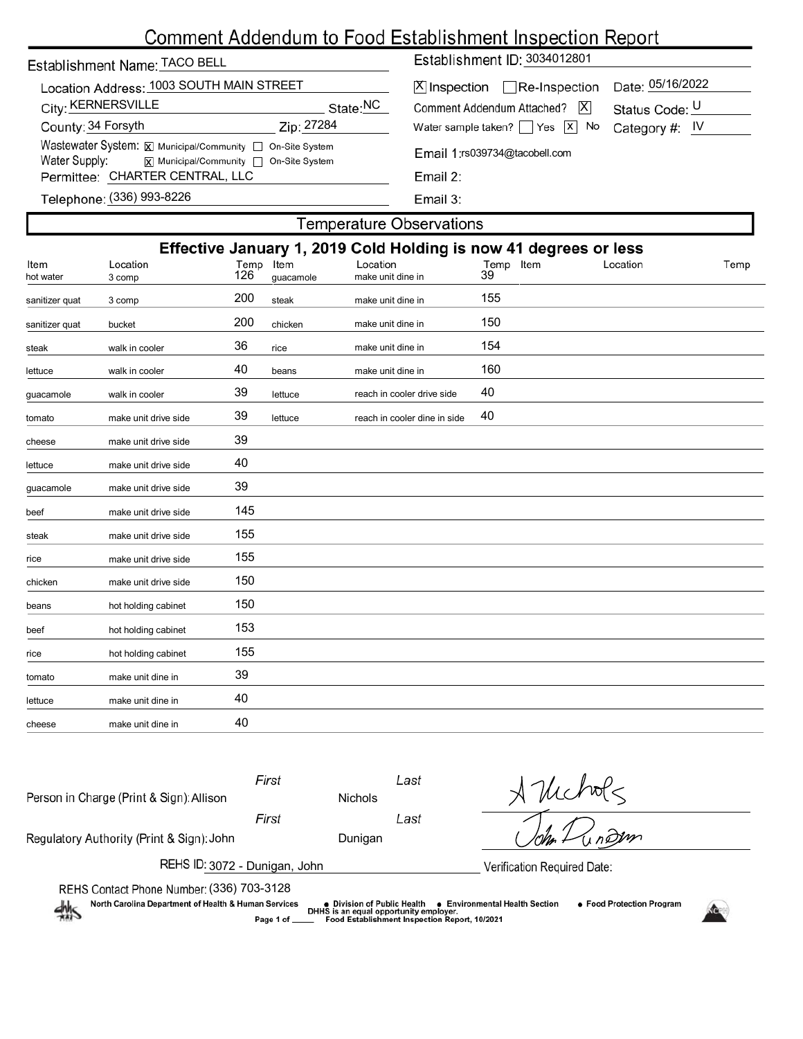| Establishment Name: TACO BELL                                                                                                          | Establishment ID: 3034012801 |                                                                         |  |  |  |
|----------------------------------------------------------------------------------------------------------------------------------------|------------------------------|-------------------------------------------------------------------------|--|--|--|
| Location Address: 1003 SOUTH MAIN STREET<br>City: KERNERSVILLE                                                                         | State: <sup>NC</sup>         | $[X]$ Inspection $\Box$ Re-Inspection<br>Comment Addendum Attached?   X |  |  |  |
| County: 34 Forsyth                                                                                                                     | Zip: 27284                   | Water sample taken? $\Box$ Yes $\Box$ No                                |  |  |  |
| Wastewater System: X Municipal/Community   On-Site System<br>Water Supply:<br>$\overline{x}$ Municipal/Community $\Box$ On-Site System |                              | Email 1:rs039734@tacobell.com                                           |  |  |  |
| Permittee: CHARTER CENTRAL, LLC                                                                                                        |                              | Email 2:                                                                |  |  |  |
|                                                                                                                                        |                              |                                                                         |  |  |  |

| X Inspection <sub>Re</sub> -Inspection Date: 05/16/2022   |                |
|-----------------------------------------------------------|----------------|
| Comment Addendum Attached? X                              | Status Code: U |
| Water sample taken? $\Box$ Yes $\Box X$ No Category #: IV |                |
| Email 1:rs039734@tacobell.com                             |                |

| the control of the control of the con- |  |
|----------------------------------------|--|

Email 3:

# Telephone: (336) 993-8226

## **Temperature Observations**

| Effective January 1, 2019 Cold Holding is now 41 degrees or less |                      |             |                   |                               |                    |          |      |  |  |
|------------------------------------------------------------------|----------------------|-------------|-------------------|-------------------------------|--------------------|----------|------|--|--|
| Item<br>hot water                                                | Location<br>3 comp   | Temp<br>126 | Item<br>guacamole | Location<br>make unit dine in | Temp<br>Item<br>39 | Location | Temp |  |  |
|                                                                  |                      |             |                   |                               |                    |          |      |  |  |
| sanitizer quat                                                   | 3 comp               | 200         | steak             | make unit dine in             | 155                |          |      |  |  |
| sanitizer quat                                                   | bucket               | 200         | chicken           | make unit dine in             | 150                |          |      |  |  |
| steak                                                            | walk in cooler       | 36          | rice              | make unit dine in             | 154                |          |      |  |  |
| lettuce                                                          | walk in cooler       | 40          | beans             | make unit dine in             | 160                |          |      |  |  |
| guacamole                                                        | walk in cooler       | 39          | lettuce           | reach in cooler drive side    | 40                 |          |      |  |  |
| tomato                                                           | make unit drive side | 39          | lettuce           | reach in cooler dine in side  | 40                 |          |      |  |  |
| cheese                                                           | make unit drive side | 39          |                   |                               |                    |          |      |  |  |
| lettuce                                                          | make unit drive side | 40          |                   |                               |                    |          |      |  |  |
| guacamole                                                        | make unit drive side | 39          |                   |                               |                    |          |      |  |  |
| beef                                                             | make unit drive side | 145         |                   |                               |                    |          |      |  |  |
| steak                                                            | make unit drive side | 155         |                   |                               |                    |          |      |  |  |
| rice                                                             | make unit drive side | 155         |                   |                               |                    |          |      |  |  |
| chicken                                                          | make unit drive side | 150         |                   |                               |                    |          |      |  |  |
| beans                                                            | hot holding cabinet  | 150         |                   |                               |                    |          |      |  |  |
| beef                                                             | hot holding cabinet  | 153         |                   |                               |                    |          |      |  |  |
| rice                                                             | hot holding cabinet  | 155         |                   |                               |                    |          |      |  |  |
| tomato                                                           | make unit dine in    | 39          |                   |                               |                    |          |      |  |  |
| lettuce                                                          | make unit dine in    | 40          |                   |                               |                    |          |      |  |  |
| cheese                                                           | make unit dine in    | 40          |                   |                               |                    |          |      |  |  |

| Person in Charge (Print & Sign): Allison                                                                                                                                                                                                                                                                      | First | <b>Nichols</b> | Last | $\frac{1}{\sqrt{2}}$ |  |  |  |
|---------------------------------------------------------------------------------------------------------------------------------------------------------------------------------------------------------------------------------------------------------------------------------------------------------------|-------|----------------|------|----------------------|--|--|--|
|                                                                                                                                                                                                                                                                                                               | First |                | Last |                      |  |  |  |
| Regulatory Authority (Print & Sign): John                                                                                                                                                                                                                                                                     |       | Dunigan        |      |                      |  |  |  |
| REHS ID: 3072 - Dunigan, John<br>Verification Required Date:                                                                                                                                                                                                                                                  |       |                |      |                      |  |  |  |
| REHS Contact Phone Number: (336) 703-3128<br>North Carolina Department of Health & Human Services<br>• Food Protection Program<br>● Environmental Health Section<br>● Division of Public Health<br>DHHS is an equal opportunity employer.<br>Food Establishment Inspection Report, 10/2021<br>Page 1 of _____ |       |                |      |                      |  |  |  |
|                                                                                                                                                                                                                                                                                                               |       |                |      |                      |  |  |  |